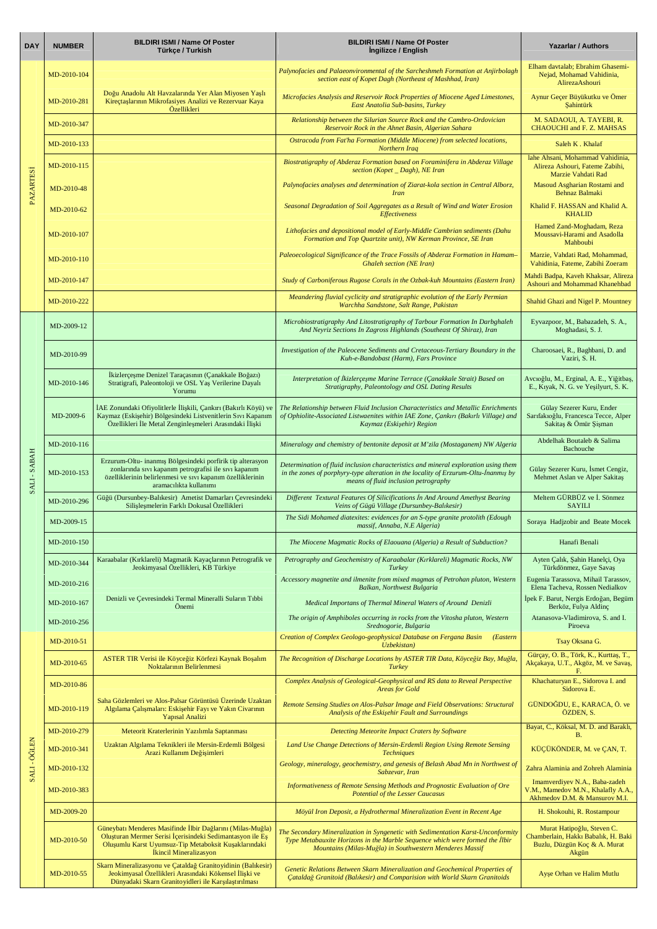| <b>DAY</b>        | <b>NUMBER</b> | <b>BILDIRI ISMI / Name Of Poster</b><br>Türkçe / Turkish                                                                                                                                                    | <b>BILDIRI ISMI / Name Of Poster</b><br>Ingilizce / English                                                                                                                                                                 | <b>Yazarlar / Authors</b>                                                                                  |
|-------------------|---------------|-------------------------------------------------------------------------------------------------------------------------------------------------------------------------------------------------------------|-----------------------------------------------------------------------------------------------------------------------------------------------------------------------------------------------------------------------------|------------------------------------------------------------------------------------------------------------|
| <b>PAZARTESI</b>  | MD-2010-104   |                                                                                                                                                                                                             | Palynofacies and Palaeonvironmental of the Sarcheshmeh Formation at Anjirbolagh<br>section east of Kopet Dagh (Northeast of Mashhad, Iran)                                                                                  | Elham davtalab; Ebrahim Ghasemi-<br>Nejad, Mohamad Vahidinia,<br>AlirezaAshouri                            |
|                   | MD-2010-281   | Doğu Anadolu Alt Havzalarında Yer Alan Miyosen Yaşlı<br>Kireçtaşlarının Mikrofasiyes Analizi ve Rezervuar Kaya<br>Özellikleri                                                                               | Microfacies Analysis and Reservoir Rock Properties of Miocene Aged Limestones,<br>East Anatolia Sub-basins, Turkey                                                                                                          | Aynur Geçer Büyükutku ve Ömer<br><b>Sahintürk</b>                                                          |
|                   | MD-2010-347   |                                                                                                                                                                                                             | Relationship between the Silurian Source Rock and the Cambro-Ordovician<br>Reservoir Rock in the Ahnet Basin, Algerian Sahara                                                                                               | M. SADAOUI, A. TAYEBI, R.<br><b>CHAOUCHI</b> and F. Z. MAHSAS                                              |
|                   | MD-2010-133   |                                                                                                                                                                                                             | Ostracoda from Fat'ha Formation (Middle Miocene) from selected locations,<br><b>Northern Iraq</b>                                                                                                                           | Saleh K. Khalaf                                                                                            |
|                   | MD-2010-115   |                                                                                                                                                                                                             | Biostratigraphy of Abderaz Formation based on Foraminifera in Abderaz Village<br>section (Kopet _ Dagh), NE Iran                                                                                                            | lahe Ahsani, Mohammad Vahidinia,<br>Alireza Ashouri, Fateme Zabihi,<br>Marzie Vahdati Rad                  |
|                   | MD-2010-48    |                                                                                                                                                                                                             | Palynofacies analyses and determination of Ziarat-kola section in Central Alborz,<br><i>Iran</i>                                                                                                                            | Masoud Asgharian Rostami and<br><b>Behnaz Balmaki</b>                                                      |
|                   | MD-2010-62    |                                                                                                                                                                                                             | Seasonal Degradation of Soil Aggregates as a Result of Wind and Water Erosion<br><b>Effectiveness</b>                                                                                                                       | Khalid F. HASSAN and Khalid A.<br><b>KHALID</b>                                                            |
|                   | MD-2010-107   |                                                                                                                                                                                                             | Lithofacies and depositional model of Early-Middle Cambrian sediments (Dahu<br>Formation and Top Quartzite unit), NW Kerman Province, SE Iran                                                                               | Hamed Zand-Moghadam, Reza<br>Moussavi-Harami and Asadolla<br>Mahhoubi                                      |
|                   | MD-2010-110   |                                                                                                                                                                                                             | Paleoecological Significance of the Trace Fossils of Abderaz Formation in Hamam-<br><b>Ghaleh section (NE Iran)</b>                                                                                                         | Marzie, Vahdati Rad, Mohammad,<br>Vahidinia, Fateme, Zabihi Zoeram                                         |
|                   | MD-2010-147   |                                                                                                                                                                                                             | Study of Carboniferous Rugose Corals in the Ozbak-kuh Mountains (Eastern Iran)                                                                                                                                              | Mahdi Badpa, Kaveh Khaksar, Alireza<br>Ashouri and Mohammad Khanehbad                                      |
|                   | MD-2010-222   |                                                                                                                                                                                                             | Meandering fluvial cyclicity and stratigraphic evolution of the Early Permian<br>Warchha Sandstone, Salt Range, Pakistan                                                                                                    | Shahid Ghazi and Nigel P. Mountney                                                                         |
|                   | MD-2009-12    |                                                                                                                                                                                                             | Microbiostratigraphy And Litostratigraphy of Tarbour Formation In Darbghaleh<br>And Neyriz Sections In Zagross Highlands (Southeast Of Shiraz), Iran                                                                        | Eyvazpoor, M., Babazadeh, S. A.,<br>Moghadasi, S. J.                                                       |
|                   | MD-2010-99    |                                                                                                                                                                                                             | Investigation of the Paleocene Sediments and Cretaceous-Tertiary Boundary in the<br>Kuh-e-Bandobast (Harm), Fars Province                                                                                                   | Charoosaei, R., Baghbani, D. and<br>Vaziri, S. H.                                                          |
|                   | MD-2010-146   | İkizlerçeşme Denizel Taraçasının (Çanakkale Boğazı)<br>Stratigrafi, Paleontoloji ve OSL Yaş Verilerine Dayalı<br>Yorumu                                                                                     | Interpretation of İkizlerçeşme Marine Terrace (Çanakkale Strait) Based on<br>Stratigraphy, Paleontology and OSL Dating Results                                                                                              | Avcioğlu, M., Erginal, A. E., Yiğitbaş,<br>E., Kıyak, N. G. ve Yeşilyurt, S. K.                            |
| <b>HARI-SABAH</b> | MD-2009-6     | İAE Zonundaki Ofiyolitlerle İlişkili, Çankırı (Bakırlı Köyü) ve<br>Kaymaz (Eskişehir) Bölgesindeki Listvenitlerin Sıvı Kapanım<br>Özellikleri İle Metal Zenginleşmeleri Arasındaki İlişki                   | The Relationship between Fluid Inclusion Characteristics and Metallic Enrichments<br>of Ophiolite-Associated Listwaenites within IAE Zone, Çankırı (Bakırlı Village) and<br>Kaymaz (Eskişehir) Region                       | Gülay Sezerer Kuru, Ender<br>Sarıfakıoğlu, Francesca Tecce, Alper<br>Sakitaş & Ömür Şişman                 |
|                   | MD-2010-116   |                                                                                                                                                                                                             | Mineralogy and chemistry of bentonite deposit at M'zila (Mostaganem) NW Algeria                                                                                                                                             | Abdelhak Boutaleb & Salima<br>Bachouche                                                                    |
|                   | MD-2010-153   | Erzurum-Oltu- inanmış Bölgesindeki porfirik tip alterasyon<br>zonlarında sıvı kapanım petrografisi ile sıvı kapanım<br>özelliklerinin belirlenmesi ve sıvı kapanım özelliklerinin<br>aramacılıkta kullanımı | Determination of fluid inclusion characteristics and mineral exploration using them<br>in the zones of porphyry-type alteration in the locality of Erzurum-Oltu-İnanmış by<br>means of fluid inclusion petrography          | Gülay Sezerer Kuru, İsmet Cengiz,<br>Mehmet Aslan ve Alper Sakitaş                                         |
|                   | MD-2010-296   | Güğü (Dursunbey-Balıkesir) Ametist Damarları Çevresindeki<br>Silişleşmelerin Farklı Dokusal Özellikleri                                                                                                     | Different Textural Features Of Silicifications In And Around Amethyst Bearing<br>Veins of Gügü Village (Dursunbey-Balıkesir)                                                                                                | Meltem GÜRBÜZ ve İ. Sönmez<br><b>SAYILI</b>                                                                |
|                   | MD-2009-15    |                                                                                                                                                                                                             | The Sidi Mohamed diatexites: evidences for an S-type granite protolith (Edough<br>massif, Annaba, N.E Algeria)                                                                                                              | Soraya Hadjzobir and Beate Mocek                                                                           |
|                   | MD-2010-150   |                                                                                                                                                                                                             | The Miocene Magmatic Rocks of Elaouana (Algeria) a Result of Subduction?                                                                                                                                                    | Hanafi Benali                                                                                              |
|                   | MD-2010-344   | Karaabalar (Kırklareli) Magmatik Kayaçlarının Petrografik ve<br>Jeokimyasal Özellikleri, KB Türkiye                                                                                                         | Petrography and Geochemistry of Karaabalar (Kırklareli) Magmatic Rocks, NW<br>Turkey                                                                                                                                        | Ayten Çalık, Şahin Hanelçi, Oya<br>Türkdönmez, Gaye Savaş                                                  |
|                   | MD-2010-216   |                                                                                                                                                                                                             | Accessory magnetite and ilmenite from mixed magmas of Petrohan pluton, Western<br>Balkan, Northwest Bulgaria                                                                                                                | Eugenia Tarassova, Mihail Tarassov,<br>Elena Tacheva, Rossen Nedialkov                                     |
|                   | MD-2010-167   | Denizli ve Çevresindeki Termal Mineralli Suların Tıbbi<br>Önemi                                                                                                                                             | Medical Importans of Thermal Mineral Waters of Around Denizli                                                                                                                                                               | İpek F. Barut, Nergis Erdoğan, Begüm<br>Berköz, Fulya Aldinç                                               |
|                   | MD-2010-256   |                                                                                                                                                                                                             | The origin of Amphiboles occurring in rocks from the Vitosha pluton, Western<br>Srednogorie, Bulgaria                                                                                                                       | Atanasova-Vladimirova, S. and I.<br>Piroeva                                                                |
|                   | MD-2010-51    |                                                                                                                                                                                                             | Creation of Complex Geologo-geophysical Database on Fergana Basin<br>(Eastern<br>Uzbekistan)                                                                                                                                | Tsay Oksana G.                                                                                             |
|                   | MD-2010-65    | ASTER TIR Verisi ile Köyceğiz Körfezi Kaynak Boşalım<br>Noktalarının Belirlenmesi                                                                                                                           | The Recognition of Discharge Locations by ASTER TIR Data, Köyceğiz Bay, Muğla,<br>Turkey                                                                                                                                    | Gürçay, O. B., Törk, K., Kurttaş, T.,<br>Akçakaya, U.T., Akgöz, M. ve Savaş,<br>F.                         |
|                   | MD-2010-86    |                                                                                                                                                                                                             | Complex Analysis of Geological-Geophysical and RS data to Reveal Perspective<br><b>Areas for Gold</b>                                                                                                                       | Khachaturyan E., Sidorova I. and<br>Sidorova E.                                                            |
|                   | MD-2010-119   | Saha Gözlemleri ve Alos-Palsar Görüntüsü Üzerinde Uzaktan<br>Algılama Çalışmaları: Eskişehir Fayı ve Yakın Civarının<br>Yapısal Analizi                                                                     | Remote Sensing Studies on Alos-Palsar Image and Field Observations: Structural<br>Analysis of the Eskişehir Fault and Surroundings                                                                                          | GÜNDOĞDU, E., KARACA, Ö. ve<br>ÖZDEN, S.                                                                   |
|                   | MD-2010-279   | Meteorit Kraterlerinin Yazılımla Saptanması                                                                                                                                                                 | Detecting Meteorite Impact Craters by Software                                                                                                                                                                              | Bayat, C., Köksal, M. D. and Baraklı,<br>B.                                                                |
|                   | MD-2010-341   | Uzaktan Algılama Teknikleri ile Mersin-Erdemli Bölgesi<br>Arazi Kullanım Değişimleri                                                                                                                        | Land Use Change Detections of Mersin-Erdemli Region Using Remote Sensing<br><b>Techniques</b>                                                                                                                               | KÜÇÜKÖNDER, M. ve ÇAN, T.                                                                                  |
| <b>SALI-ÖĞLEN</b> | MD-2010-132   |                                                                                                                                                                                                             | Geology, mineralogy, geochemistry, and genesis of Belash Abad Mn in Northwest of<br>Sabzevar, Iran                                                                                                                          | Zahra Alaminia and Zohreh Alaminia                                                                         |
|                   | MD-2010-383   |                                                                                                                                                                                                             | Informativeness of Remote Sensing Methods and Prognostic Evaluation of Ore<br>Potential of the Lesser Caucasus                                                                                                              | Imamverdiyev N.A., Baba-zadeh<br>V.M., Mamedov M.N., Khalafly A.A.,<br>Akhmedov D.M. & Mansurov M.I.       |
|                   | MD-2009-20    |                                                                                                                                                                                                             | Möyül Iron Deposit, a Hydrothermal Mineralization Event in Recent Age                                                                                                                                                       | H. Shokouhi, R. Rostampour                                                                                 |
|                   | MD-2010-50    | Güneybatı Menderes Masifinde İlbir Dağlarını (Milas-Muğla)<br>Oluşturan Mermer Serisi İçerisindeki Sedimantasyon ile Eş<br>Oluşumlu Karst Uyumsuz-Tip Metaboksit Kuşaklarındaki<br>İkincil Mineralizasyon   | The Secondary Mineralization in Syngenetic with Sedimentation Karst-Unconformity<br>Type Metabauxite Horizons in the Marble Sequence which were formed the İlbir<br>Mountains (Milas-Muğla) in Southwestern Menderes Massif | Murat Hatipoğlu, Steven C.<br>Chamberlain, Hakkı Babalık, H. Baki<br>Buzlu, Düzgün Koç & A. Murat<br>Akgün |
|                   | MD-2010-55    | Skarn Mineralizasyonu ve Çataldağ Granitoyidinin (Balıkesir)<br>Jeokimyasal Özellikleri Arasındaki Kökensel İlişki ve<br>Dünyadaki Skarn Granitoyidleri ile Karşılaştırılması                               | Genetic Relations Between Skarn Mineralization and Geochemical Properties of<br>Çataldağ Granitoid (Balıkesir) and Comparision with World Skarn Granitoids                                                                  | Ayşe Orhan ve Halim Mutlu                                                                                  |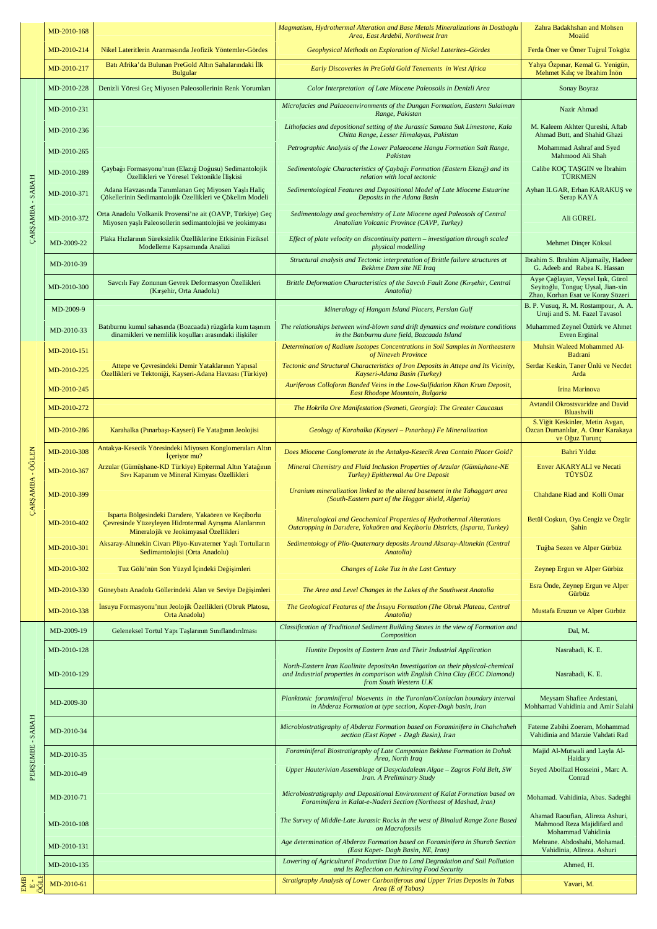|                                    | MD-2010-168 |                                                                                                                                                         | Magmatism, Hydrothermal Alteration and Base Metals Mineralizations in Dostbaglu<br>Area, East Ardebil, Northwest Iran                                                                            | Zahra Badakhshan and Mohsen<br>Moaiid                                                                       |
|------------------------------------|-------------|---------------------------------------------------------------------------------------------------------------------------------------------------------|--------------------------------------------------------------------------------------------------------------------------------------------------------------------------------------------------|-------------------------------------------------------------------------------------------------------------|
|                                    | MD-2010-214 | Nikel Lateritlerin Aranmasında Jeofizik Yöntemler-Gördes                                                                                                | Geophysical Methods on Exploration of Nickel Laterites-Gördes                                                                                                                                    | Ferda Öner ve Ömer Tuğrul Tokgöz                                                                            |
|                                    | MD-2010-217 | Batı Afrika'da Bulunan PreGold Altın Sahalarındaki İlk<br><b>Bulgular</b>                                                                               | Early Discoveries in PreGold Gold Tenements in West Africa                                                                                                                                       | Yahya Özpınar, Kemal G. Yenigün,<br>Mehmet Kılıç ve İbrahim İnön                                            |
|                                    | MD-2010-228 | Denizli Yöresi Geç Miyosen Paleosollerinin Renk Yorumları                                                                                               | Color Interpretation of Late Miocene Paleosoils in Denizli Area                                                                                                                                  | Sonay Boyraz                                                                                                |
|                                    | MD-2010-231 |                                                                                                                                                         | Microfacies and Palaeoenvironments of the Dungan Formation, Eastern Sulaiman<br>Range, Pakistan                                                                                                  | Nazir Ahmad                                                                                                 |
|                                    | MD-2010-236 |                                                                                                                                                         | Lithofacies and depositional setting of the Jurassic Samana Suk Limestone, Kala<br>Chitta Range, Lesser Himalayas, Pakistan                                                                      | M. Kaleem Akhter Qureshi, Aftab<br>Ahmad Butt, and Shahid Ghazi                                             |
|                                    | MD-2010-265 |                                                                                                                                                         | Petrographic Analysis of the Lower Palaeocene Hangu Formation Salt Range,<br>Pakistan                                                                                                            | Mohammad Ashraf and Syed<br>Mahmood Ali Shah                                                                |
| ÇARŞAMBA - SABAH                   | MD-2010-289 | Çaybağı Formasyonu'nun (Elazığ Doğusu) Sedimantolojik<br>Özellikleri ve Yöresel Tektonikle İlişkisi                                                     | Sedimentologic Characteristics of Çaybağı Formation (Eastern Elazığ) and its<br>relation with local tectonic                                                                                     | Calibe KOÇ TAŞGIN ve İbrahim<br><b>TÜRKMEN</b>                                                              |
|                                    | MD-2010-371 | Adana Havzasında Tanımlanan Geç Miyosen Yaşlı Haliç<br>Çökellerinin Sedimantolojik Özellikleri ve Çökelim Modeli                                        | Sedimentological Features and Depositional Model of Late Miocene Estuarine<br>Deposits in the Adana Basin                                                                                        | Ayhan ILGAR, Erhan KARAKUŞ ve<br>Serap KAYA                                                                 |
|                                    | MD-2010-372 | Orta Anadolu Volkanik Provensi'ne ait (OAVP, Türkiye) Geç<br>Miyosen yaşlı Paleosollerin sedimantolojisi ve jeokimyası                                  | Sedimentology and geochemistry of Late Miocene aged Paleosols of Central<br>Anatolian Volcanic Province (CAVP, Turkey)                                                                           | Ali GÜREL                                                                                                   |
|                                    | MD-2009-22  | Plaka Hızlarının Süreksizlik Özelliklerine Etkisinin Fiziksel<br>Modelleme Kapsamında Analizi                                                           | Effect of plate velocity on discontinuity pattern - investigation through scaled<br>physical modelling                                                                                           | Mehmet Dinçer Köksal                                                                                        |
|                                    | MD-2010-39  |                                                                                                                                                         | Structural analysis and Tectonic interpretation of Brittle failure structures at<br>Bekhme Dam site NE Iraq                                                                                      | Ibrahim S. Ibrahim Aljumaily, Hadeer<br>G. Adeeb and Rabea K. Hassan                                        |
|                                    | MD-2010-300 | Savcılı Fay Zonunun Gevrek Deformasyon Özellikleri<br>(Kırşehir, Orta Anadolu)                                                                          | Brittle Deformation Characteristics of the Savcılı Fault Zone (Kırşehir, Central<br>Anatolia)                                                                                                    | Ayşe Çağlayan, Veysel Işık, Gürol<br>Seyitoğlu, Tonguç Uysal, Jian-xin<br>Zhao, Korhan Esat ve Koray Sözeri |
|                                    | MD-2009-9   |                                                                                                                                                         | Mineralogy of Hangam Island Placers, Persian Gulf                                                                                                                                                | B. P. Vusuq, R. M. Rostampour, A. A.<br>Uruji and S. M. Fazel Tavasol                                       |
|                                    | MD-2010-33  | Batıburnu kumul sahasında (Bozcaada) rüzgârla kum taşınım<br>dinamikleri ve nemlilik koşulları arasındaki ilişkiler                                     | The relationships between wind-blown sand drift dynamics and moisture conditions<br>in the Battburnu dune field, Bozcaada Island                                                                 | Muhammed Zeynel Öztürk ve Ahmet<br>Evren Erginal                                                            |
|                                    | MD-2010-151 |                                                                                                                                                         | Determination of Radium Isotopes Concentrations in Soil Samples in Northeastern<br>of Nineveh Province                                                                                           | Muhsin Waleed Mohammed Al-<br>Badrani                                                                       |
|                                    | MD-2010-225 | Attepe ve Çevresindeki Demir Yataklarının Yapısal<br>Özellikleri ve Tektoniği, Kayseri-Adana Havzası (Türkiye)                                          | Tectonic and Structural Characteristics of Iron Deposits in Attepe and Its Vicinity,<br><b>Example 2018</b> Superior <i>Kayseri-Adana Basin (Turkey)</i> And <i>Kayseri-Adana Basin (Turkey)</i> | Serdar Keskin, Taner Ünlü ve Necdet<br><b>Example 2</b> Arda                                                |
|                                    | MD-2010-245 |                                                                                                                                                         | Auriferous Colloform Banded Veins in the Low-Sulfidation Khan Krum Deposit,<br>East Rhodope Mountain, Bulgaria                                                                                   | Irina Marinova                                                                                              |
|                                    | MD-2010-272 |                                                                                                                                                         | The Hokrila Ore Manifestation (Svaneti, Georgia): The Greater Caucasus                                                                                                                           | Avtandil Okrostsvaridze and David<br>Bluashvili                                                             |
|                                    | MD-2010-286 | Karahalka (Pınarbaşı-Kayseri) Fe Yatağının Jeolojisi                                                                                                    | Geology of Karahalka (Kayseri - Pınarbaşı) Fe Mineralization                                                                                                                                     | S. Yiğit Keskinler, Metin Avgan,<br>Özcan Dumanlılar, A. Onur Karakaya<br>ve Oğuz Turunç                    |
|                                    | MD-2010-308 | Antakya-Kesecik Yöresindeki Miyosen Konglomeraları Altın<br>lçeriyor mu?                                                                                | Does Miocene Conglomerate in the Antakya-Kesecik Area Contain Placer Gold?                                                                                                                       | Bahri Yıldız                                                                                                |
| ÇARŞAMBA - ÖĞLEN                   | MD-2010-367 | Arzular (Gümüşhane-KD Türkiye) Epitermal Altın Yatağının<br>Sıvı Kapanım ve Mineral Kimyası Özellikleri                                                 | Mineral Chemistry and Fluid Inclusion Properties of Arzular (Gümüşhane-NE<br>Turkey) Epithermal Au Ore Deposit                                                                                   | Enver AKARYALI ve Necati<br>TÜYSÜZ                                                                          |
|                                    | MD-2010-399 |                                                                                                                                                         | Uranium mineralization linked to the altered basement in the Tahaggart area<br>(South-Eastern part of the Hoggar shield, Algeria)                                                                | Chahdane Riad and Kolli Omar                                                                                |
|                                    | MD-2010-402 | Isparta Bölgesindeki Darıdere, Yakaören ve Keçiborlu<br>Çevresinde Yüzeyleyen Hidrotermal Ayrışma Alanlarının<br>Mineralojik ve Jeokimyasal Özellikleri | Mineralogical and Geochemical Properties of Hydrothermal Alterations<br>Outcropping in Daridere, Yakaören and Keçiborlu Districts, (Isparta, Turkey)                                             | Betül Coşkun, Oya Cengiz ve Özgür<br>Sahin                                                                  |
|                                    | MD-2010-301 | Aksaray-Altınekin Civarı Pliyo-Kuvaterner Yaşlı Tortulların<br>Sedimantolojisi (Orta Anadolu)                                                           | Sedimentology of Plio-Quaternary deposits Around Aksaray-Altınekin (Central<br>Anatolia)                                                                                                         | Tuğba Sezen ve Alper Gürbüz                                                                                 |
|                                    | MD-2010-302 | Tuz Gölü'nün Son Yüzyıl İçindeki Değişimleri                                                                                                            | Changes of Lake Tuz in the Last Century                                                                                                                                                          | Zeynep Ergun ve Alper Gürbüz                                                                                |
|                                    | MD-2010-330 | Güneybatı Anadolu Göllerindeki Alan ve Seviye Değişimleri                                                                                               | The Area and Level Changes in the Lakes of the Southwest Anatolia                                                                                                                                | Esra Önde, Zeynep Ergun ve Alper<br>Gürbüz                                                                  |
|                                    | MD-2010-338 | İnsuyu Formasyonu'nun Jeolojik Özellikleri (Obruk Platosu,<br>Orta Anadolu)                                                                             | The Geological Features of the İnsuyu Formation (The Obruk Plateau, Central<br>Anatolia)                                                                                                         | Mustafa Eruzun ve Alper Gürbüz                                                                              |
|                                    | MD-2009-19  | Geleneksel Tortul Yapı Taşlarının Sınıflandırılması                                                                                                     | Classification of Traditional Sediment Building Stones in the view of Formation and<br>Composition                                                                                               | Dal, M.                                                                                                     |
|                                    | MD-2010-128 |                                                                                                                                                         | Huntite Deposits of Eastern Iran and Their Industrial Application                                                                                                                                | Nasrabadi, K. E.                                                                                            |
|                                    | MD-2010-129 |                                                                                                                                                         | North-Eastern Iran Kaolinite depositsAn Investigation on their physical-chemical<br>and Industrial properties in comparison with English China Clay (ECC Diamond)<br>from South Western U.K      | Nasrabadi, K. E.                                                                                            |
|                                    | MD-2009-30  |                                                                                                                                                         | Planktonic foraminiferal bioevents in the Turonian/Coniacian boundary interval<br>in Abderaz Formation at type section, Kopet-Dagh basin, Iran                                                   | Meysam Shafiee Ardestani,<br>Mohhamad Vahidinia and Amir Salahi                                             |
| AH<br><b>SAB.</b><br>$\mathcal{A}$ | MD-2010-34  |                                                                                                                                                         | Microbiostratigraphy of Abderaz Formation based on Foraminifera in Chahchaheh<br>section (East Kopet - Dagh Basin), Iran                                                                         | Fateme Zabihi Zoeram, Mohammad<br>Vahidinia and Marzie Vahdati Rad                                          |
|                                    | MD-2010-35  |                                                                                                                                                         | Foraminiferal Biostratigraphy of Late Campanian Bekhme Formation in Dohuk<br>Area, North Iraq                                                                                                    | Majid Al-Mutwali and Layla Al-<br>Haidary                                                                   |
| PERŞEMBE                           | MD-2010-49  |                                                                                                                                                         | Upper Hauterivian Assemblage of Dasycladalean Algae - Zagros Fold Belt, SW<br>Iran. A Preliminary Study                                                                                          | Seyed Abolfazl Hosseini, Marc A.<br>Conrad                                                                  |
|                                    | MD-2010-71  |                                                                                                                                                         | Microbiostratigraphy and Depositional Environment of Kalat Formation based on<br>Foraminifera in Kalat-e-Naderi Section (Northeast of Mashad, Iran)                                              | Mohamad. Vahidinia, Abas. Sadeghi                                                                           |
|                                    | MD-2010-108 |                                                                                                                                                         | The Survey of Middle-Late Jurassic Rocks in the west of Binalud Range Zone Based<br>on Macrofossils                                                                                              | Ahamad Raoufian, Alireza Ashuri,<br>Mahmood Reza Majidifard and<br>Mohammad Vahidinia                       |
|                                    | MD-2010-131 |                                                                                                                                                         | Age determination of Abderaz Formation based on Foraminifera in Shurab Section<br>(East Kopet- Dagh Basin, NE, Iran)                                                                             | Mehrane. Abdoshahi, Mohamad.<br>Vahidinia, Alireza. Ashuri                                                  |
|                                    | MD-2010-135 |                                                                                                                                                         | Lowering of Agricultural Production Due to Land Degradation and Soil Pollution<br>and Its Reflection on Achieving Food Security                                                                  | Ahmed, H.                                                                                                   |
| 용<br><sub>비</sub> 있                | MD-2010-61  |                                                                                                                                                         | Stratigraphy Analysis of Lower Carboniferous and Upper Trias Deposits in Tabas<br>Area (E of Tabas)                                                                                              | Yavari, M.                                                                                                  |